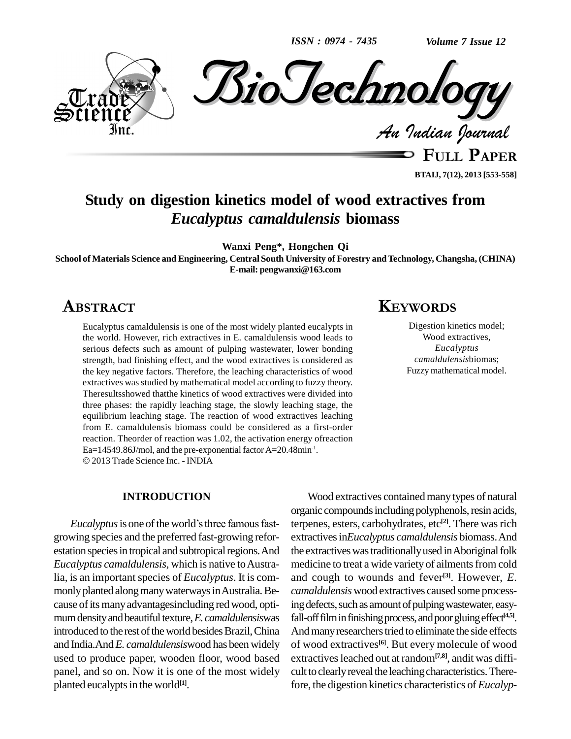*ISSN : 0974 - 7435*

*Volume 7 Issue 12*



**BTAIJ, 7(12), 2013 [553-558]**

# **Study on digestion kinetics model of wood extractives from** *Eucalyptus camaldulensis* **biomass**

**Wanxi Peng\*, Hongchen Qi**

**School of Materials Science and Engineering, Central South University of Forestry andTechnology, Changsha, (CHINA) E-mail: [pengwanxi@163.com](mailto:pengwanxi@163.com)**

## ABSTRACT

Eucalyptus camaldulensis is one of the most widely planted eucalypts in the world. However, rich extractives in E. camaldulensis wood leads to serious defects such as amount of pulping wastewater, lower bonding strength, bad finishing effect, and the wood extractives is considered as the key negative factors. Therefore, the leaching characteristics of wood extractives was studied by mathematical model according to fuzzy theory. Theresultsshowed thatthe kinetics of wood extractives were divided into three phases: the rapidly leaching stage, the slowly leaching stage, the equilibrium leaching stage. The reaction of wood extractives leaching from E. camaldulensis biomass could be considered as a first-order reaction. Theorder of reaction was 1.02, the activation energy ofreaction<br>Ea=14549.86J/mol, and the pre-exponential factor A=20.48min<sup>-1</sup>.  $Ea=14549.86$ J/mol, and the pre-exponential factor A=20.48min<sup>-1</sup>. 2013 Trade Science Inc. - INDIA

#### **INTRODUCTION**

*Eucalyptus* is one of the world's three famous fastgrowing species and the preferred fast-growing refor estation species in tropical and subtropical regions. And *Eucalyptus camaldulensis*, which is native to Australia, is an important species of *Eucalyptus*. It is commonly planted along many waterways in Australia. Because of its many advantagesincluding red wood, optimum density and beautiful texture, *E. camaldulensiswas* introduced to the rest of the world besides Brazil, China and India.And*E. camaldulensis*wood has been widely used to produce paper, wooden floor, wood based panel, and so on. Now it is one of the most widely planted eucalypts in the world<sup>[1]</sup>.

# **KEYWORDS**

Digestion kinetics model; Wood extractives, *Eucalyptus camaldulensis*biomas; Fuzzy mathematical model.

Wood extractives contained many types of natural organic compounds including polyphenols, resin acids, terpenes, esters, carbohydrates, etc **[2]**. There wasrich extractivesin*Eucalyptus camaldulensis* biomass.And the extractives was traditionally used in Aboriginal folk medicine to treat a wide variety of ailments from cold and cough to wounds and fever **[3]**. However, *E. camaldulensis* wood extractives caused some processing defects, such as amount of pulping wastewater, easyfall-offfilminfinishingprocess,andpoorgluingeffect **[4,5]**. And many researchers tried to eliminate the side effects of wood extractives **[6]**. But every molecule of wood extractives leached out at random<sup>[7,8]</sup>, andit was difficult to clearly reveal the leaching characteristics. Therefore, the digestion kinetics characteristics of *Eucalyp-*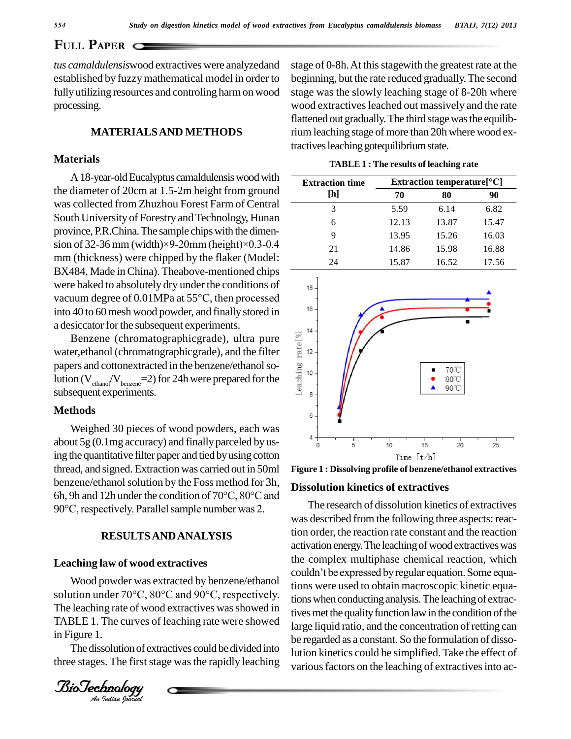**PULL PAPER** C

*tus camaldulensis*wood extractives were analyzedand established by fuzzymathematical model in order to fully utilizing resources and controling harmon wood processing.

### **MATERIALSAND METHODS**

## **Materials**

A 18-year-old Eucalyptus camaldulensis wood with the diameter of 20cm at 1.5-2m height from ground was collected from Zhuzhou Forest Farm of Central South University of Forestry and Technology, Hunan province, P.R.China. The sample chips with the dimen-South University of Forestry and Technology, Hunan<br>province, P.R.China. The sample chips with the dimen-<br>sion of 32-36 mm (width)×9-20mm (height)×0.3-0.4 mm (thickness) were chipped by the flaker (Model: BX484, Made inChina). Theabove-mentioned chips were baked to absolutely dry under the conditions of  $_{18}$ vacuum degree of  $0.01$ MPa at 55 $^{\circ}$ C, then processed<br>into 40 to 60 mosh wood novder and finally stared in into 40 to 60mesh wood powder, and finally stored in a desiccator for the subsequent experiments.

Benzene (chromatographicgrade), ultra pure<br>er, ethanol (chromatographicgrade), and the filter<br>ers and cottonextracted in the benzene/ethanol so-<br>on  $(V_{\text{ethanol}}/V_{\text{benzene}}=2)$  for 24h were prepared for the water, ethanol (chromatographic grade), and the filter  $\frac{1}{12}$  12 papers and cottonextracted in the benzene/ethanol solution  $(V_{\text{ehanof}}/V_{\text{benzene}}=2)$  for 24h were prepared for the subsequent experiments.

#### **Methods**

Weighed 30 pieces of wood powders, each was about 5g (0.1mg accuracy) and finally parceled by using the quantitative filter paper and tied byusing cotton thread, and signed. Extraction was carried out in 50ml benzene/ethanol solution by the Foss method for 3h, thread, and signed. Extraction was carried out in 50ml Figure 1<br>benzene/ethanol solution by the Foss method for 3h,<br>6h, 9h and 12h under the condition of 70°C, 80°C and benzene/ethanol solution by the Foss method for 3h,<br>6h, 9h and 12h under the condition of 70°C, 80°C and<br>90°C, respectively. Parallel sample number was 2.

## **RESULTSANDANALYSIS**

#### **Leaching law of wood extractives**

Wood powder was extracted by benzene/ethanol  $\frac{\log x}{\log x}$ TABLE 1. The curves of leaching rate were showed large li The leaching rate of wood extractives was showed in in Figure 1.

The dissolution of extractives could be divided into three stages. The first stage was the rapidly leaching

*BioTechnology*<br>An *Indian Journal* 

stage of 0-8h. At this stagewith the greatest rate at the beginning, but the rate reduced gradually.The second stage was the slowly leaching stage of 8-20h where wood extractives leached out massively and the rate flattened out gradually. The third stage was the equilibrium leaching stage of more than 20h where wood extractives leaching gotequilibrium state.

| <b>TABLE 1: The results of leaching rate</b> |                               |       |       |  |  |  |
|----------------------------------------------|-------------------------------|-------|-------|--|--|--|
| <b>Extraction time</b><br>[h]                | Extraction temperature $[°C]$ |       |       |  |  |  |
|                                              | 70                            | 80    | 90    |  |  |  |
| 3                                            | 5.59                          | 6.14  | 6.82  |  |  |  |
| 6                                            | 12.13                         | 13.87 | 15.47 |  |  |  |
| 9                                            | 13.95                         | 15.26 | 16.03 |  |  |  |
| 21                                           | 14.86                         | 15.98 | 16.88 |  |  |  |
| 24                                           | 15.87                         | 16.52 | 17.56 |  |  |  |



**Figure 1 : Dissolving profile of benzene/ethanol extractives**

#### **Dissolution kinetics of extractives**

solution under vas extracted by benzene/ethanol<br>solution under 70°C, 80°C and 90°C, respectively.<br>tions when conducting analysis. The leaching of extrac-The research of dissolution kinetics of extractives was described from the following three aspects: reaction order, the reaction rate constant and the reaction activation energy. The leaching of wood extractives was<br>the complex multiphase chemical reaction, which<br>couldn't be expressed by regular equation. Some equathe complex multiphase chemical reaction, which tions were used to obtain macroscopic kinetic equations when conducting analysis. The leaching of extractives met the quality function law in the condition of the large liquid ratio, and the concentration of retting can be regarded as a constant. So the formulation of dissolution kinetics could be simplified.Take the effect of various factors on the leaching of extractives into ac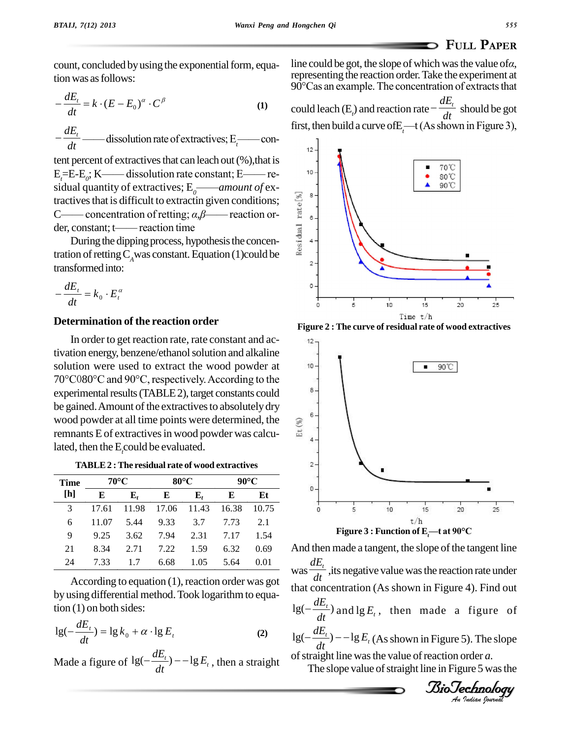count, concluded by using the exponential form, equation was as follows:<br> $-\frac{dE_t}{dE_{t-1} + k(t - E_t)^{\alpha}}$ 

tion was as follows:  
\n
$$
-\frac{dE_t}{dt} = k \cdot (E - E_0)^{\alpha} \cdot C^{\beta}
$$
\n(1)

*dt dt*  $\begin{equation*} -\frac{dE_t}{dt} \longrightarrow \text{dissolution rate of extractives; E_t \longrightarrow \text{con-} \end{equation*}$ 

tent percent of extractives that can leach out (%), that is  $E_7 = E_7$  $E_7$  $K$   $\longrightarrow$  dissolution rate constant; E  $\longrightarrow$  re-Exercídico dissolution rate of extractives,  $L_t$  re-<br>
ent of extractives that can leach out (%), that is<br>  $; K$  re-<br>
dissolution rate constant; E retent percent of extractives that can leach out (%), that is  $E_i=E-E_o$ ; K—— dissolution rate constant; E—— residual quantity of extractives;  $E_o$ —— amount of extractives that is difficult to extractin given conditions;<br>
C—— concentration of retting;  $\alpha, \beta$ —— reaction order, constant; t—— reaction time <sup>C</sup>óó concentration of retting; *·,'*óóreaction or tractives that is difficult to extractin given conditions;<br>
C—— concentration of retting;  $\alpha, \beta$ —— reaction or-<br>
der, constant; t—— reaction time<br>
During the dipping process, hypothesis the concentration of retting C<sub>A</sub>w

During the dipping process, hypothesis the concen-

transformed into:  

$$
-\frac{dE_t}{dt} = k_0 \cdot E_t^{\alpha}
$$

## **Determination of the reaction order**

In order to get reaction rate, rate constant and activation energy, benzene/ethanol solution and alkaline solution were used to extract the wood powder at solution were used to extract the wood powder at<br>70°C080°C and 90°C, respectively. According to the  $experimental$  results (TABLE 2), target constants could be gained. Amount of the extractives to absolutely dry wood powder at all time points were determined, the<br>remnants E of extractives in wood powder was calcuremnants E of extractives in wood powder was calculated, then the E*t*could be evaluated.

| Time |       | 70°C        |       | $80^{\circ}$ C |       | $90^{\circ}$ C |  |
|------|-------|-------------|-------|----------------|-------|----------------|--|
| [h]  | E     | ${\bf E}_t$ | Е     | ${\bf E}_t$    | E     | Et             |  |
| 3    | 17.61 | 11.98       | 17.06 | 11.43          | 16.38 | 10.75          |  |
| 6    | 11.07 | 5.44        | 9.33  | 3.7            | 7.73  | 2.1            |  |
| 9    | 9.25  | 3.62        | 7.94  | 2.31           | 7.17  | 1.54           |  |
| 21   | 8.34  | 2.71        | 7.22  | 1.59           | 6.32  | 0.69           |  |
| 24   | 7.33  |             | 6.68  | 1.05           | 5.64  | 0.01           |  |

According to equation  $(1)$ , reaction order was got by using differential method. Took logarithm to equation (1) on both sides:

tion (1) on both sides:  
\n
$$
lg(-\frac{dE_t}{dt}) = lg k_0 + \alpha \cdot lg E_t
$$
\n(2)

Made a figure of  $lg(-\frac{dE_t}{dt})$  – -1g  $E_t$ , then a str *dt*  $dE_{t}$ <sup>1</sup> +  $\alpha \cdot \lg E_t$  (2)  $\lg \lg \left(-\frac{dE_t}{dt}\right)$  - -  $\lg E_t$ , then a straight of

**EXECUTE:** PAPER<br>line could be got, the slope of which was the value of*a*, representing the reaction order. Take the experiment at line could be got, the slope of which was the value of*α*,<br>representing the reaction order. Take the experiment at<br>90°Cas an example. The concentration of extracts that

could leach (E<sub>t</sub>) and reaction rate  $-\frac{dH}{dt}$  show ration of extracts that<br>  $-\frac{dE_t}{dt}$  should be got could leach (E<sub>t</sub>) and reaction rate  $-\frac{dE_t}{dt}$  should be got first, then build a curve of E<sub>t</sub>—t (As shown in Figure 3),



**Figure 2 :The curve of residual rate of wood extractives**



 $dt = dt$ <br>that concentration (As shown in Figure 4). Find out  $\log(-\frac{dE_t}{dt})$  and  $\log E_t$ , then made a **I**). The slope<br>brder *a*.<br>ure **5** was the<br>**chnology** And then made a tangent, the slope of the tangent line was  $\frac{dE_t}{dt}$ , its negative value was the reaction rate under  $\frac{dt}{t}$  concent<br> $\frac{dE_t}{dt}$ and  $\lg E_t$ , then made a figure of  $\frac{t}{t}$ )  $-\lg E_t$  (As shown *dt*  $dE_{t}$ <sup>1</sup>  $\log(-\frac{\omega E_t}{dt})$  and  $\lg E_t$ , then made a figure of<br>  $\log(-\frac{dE_t}{dt})$  – – lg  $E_t$  (As shown in Figure 5). The slope of straight line was the value of reaction order *a*. The slope value of straight line in Figure 5 was the

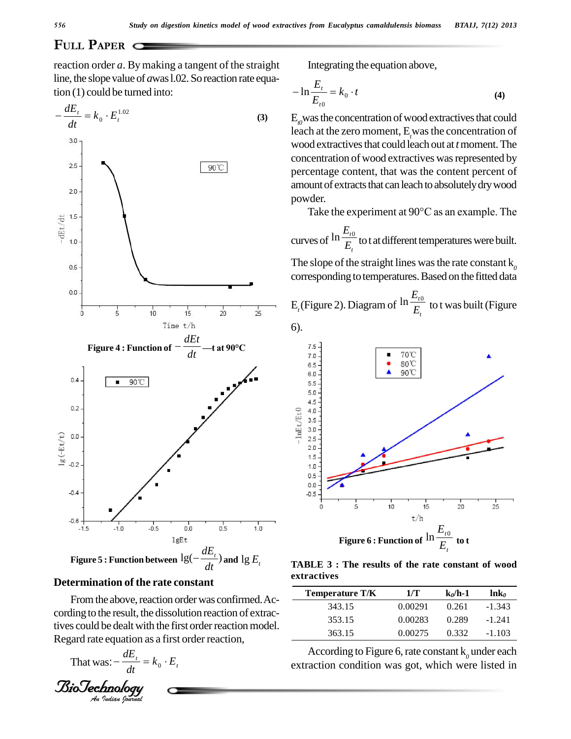# **PAPER**

reaction order *a*. Bymaking a tangent of the straight line, the slope value of *a*was 1.02. So reaction rate equa-



# BioTechnologyBioTechnology**Determination of the rate constant**

tives could be dealt with the first order reaction model.<br>
Regard rate equation as a first order reaction,<br>
That was:  $-\frac{dE_t}{dt} = k_0 \cdot E_t$  ex<br> **BioTechnology**<br>
An *Indian Bournal* From the above, reaction order was confirmed. According to the result, the dissolution reaction of extrac-Regard rate equation as a first order reaction,<br>That was:  $-\frac{dE_t}{dt} = k_0 \cdot E_t$ 

That was: 
$$
-\frac{dE_t}{dt} = k_0 \cdot E_t
$$

Integrating the equation above,  
\n
$$
-\ln \frac{E_t}{E_{t0}} = k_0 \cdot t
$$
\n(4)

 $E_{\theta}$  was the concentration of wood extractives that could leach at the zero moment, E<sub>r</sub>was the concentration of wood extractives that could leach out at *t* moment. The concentration of wood extractives was represented by percentage content, that was the content percent of amount of extracts that can leach to absolutely dry wood<br>powder.<br>Take the experiment at 90°C as an example. The powder.

curves of  $\frac{\ln \frac{1}{t}}{E_t}$  to *t*<sup>0</sup>  $E_t$  we acquire  $\ln \frac{E_{t0}}{F}$  to t at different temperatures were built.

The slope of the straight lines was the rate constant  $k_0$ corresponding to temperatures. Based on the fitted data

 $E_t$ (Figure 2). Diagram of  $\frac{ln \frac{1}{E_t}}{E_t}$  to t v *t*  $E_t$  to t was b  $\ln \frac{E_{t0}}{F}$  to t was built (Figure 6).



**TABLE 3 : The results of the rate constant of wood extractives**

| <b>Temperature T/K</b> | 1/T     | $k_0/h-1$ | $ln\mathbf{k}_0$ |
|------------------------|---------|-----------|------------------|
| 343.15                 | 0.00291 | 0.261     | $-1.343$         |
| 353.15                 | 0.00283 | 0.289     | $-1.241$         |
| 363.15                 | 0.00275 | 0.332     | $-1.103$         |

According to Figure 6, rate constant k<sub>0</sub> under each extraction condition was got, which were listed in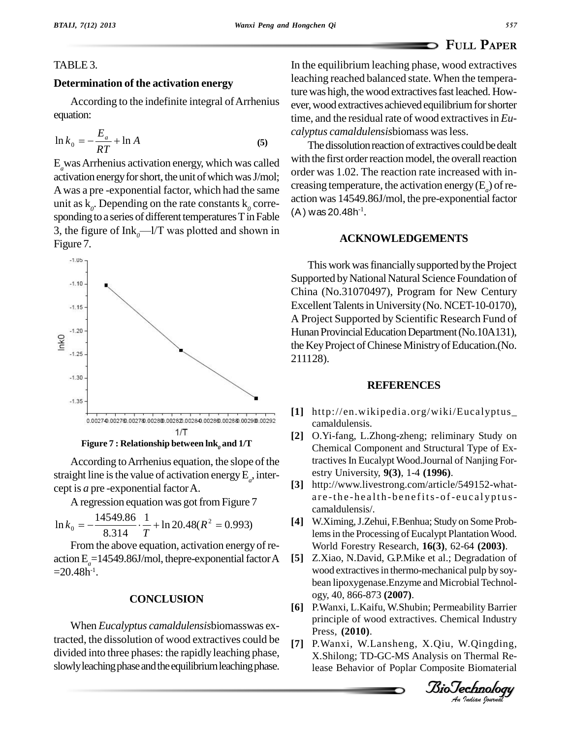## **<sup>P</sup>APER**

## TABLE 3.

#### **Determination of the activation energy**

According to the indefinite integral of Arrhenius equation:

equation:  
\n
$$
\ln k_0 = -\frac{E_a}{RT} + \ln A
$$
\n(5)

E*a*wasArrhenius activation energy, which was called activation energy for short, the unit of which was J/mol; A was a pre-exponential factor, which had the same<br>action was 14549.86J/mol, the pre-exponential factor<br>action was  $14549.86$ J/mol, the pre-exponential factor unit as  $k_0$ . Depending on the rate constants  $k_0$  corresponding to a series of different temperatures T in Fable 3, the figure of  $Ink<sub>0</sub>$ — $1/T$  was plotted and shown in Figure 7.



**Figure 7 : Relationship between lnk***<sup>0</sup>* **and 1/T**

According to Arrhenius equation, the slope of the straight line is the value of activation energy  $E_a$ , intercept is *a* pre -exponential factorA.

A regression equation was got from Figure 7  
\n
$$
\ln k_0 = -\frac{14549.86}{8.314} \cdot \frac{1}{T} + \ln 20.48(R^2 = 0.993)
$$
 [4]

From the above equation, activation energyof re action  $E_a = 14549.86$ J/mol, the pre-exponential factor A  $=$  20.48h<sup>-1</sup>.

### **CONCLUSION**

When *Eucalyptus camaldulensis*biomasswas extracted, the dissolution of wood extractives could be divided into three phases: the rapidly leaching phase, slowly leaching phase and the equilibrium leaching phase. In the equilibrium leaching phase, wood extractives leaching reached balanced state. When the temperature was high, the wood extractives fast leached. However, wood extractives achieved equilibrium for shorter time, and the residual rate of wood extractivesin *Eu calyptus camaldulensis*biomass wasless.

The dissolution reaction of extractives could be dealt with the first order reaction model, the overall reaction order was 1.02. The reaction rate increased with in creasing temperature, the activation energy  $(E_a)$  of re-(A) was 20.48h<sup>-1</sup>. .

#### **ACKNOWLEDGEMENTS**

This work was financially supported by the Project Supported by National Natural Science Foundation of China (No.31070497), Program for New Century Excellent Talents in University (No. NCET-10-0170), A Project Supported by Scientific Research Fund of Hunan Provincial Education Department (No.10A131), the Key Project of Chinese Ministry of Education. (No. 211128).

#### **REFERENCES**

- **[1]** http://en.wikipedia.org/wiki/Eucalyptus\_ camaldulensis.
- **[2]** O.Yi-fang, L.Zhong-zheng; reliminary Study on Chemical Component and Structural Type of Extractives In Eucalypt Wood.Journal of Nanjing Forestry University, **9(3)**, 1-4 **(1996)**.
- **[3]** http://www.livestrong.com/article/549152-what are-the-health-benefits-of-eucalyptuscamaldulensis/.
- **[4]** W.Ximing,J.Zehui, F.Benhua; Study on Some Problemsin the Processing of Eucalypt PlantationWood. World Forestry Research, **16(3)**, 62-64 **(2003)**.
- bean lipoxygenase.Enzyme and Microbial Technol-<br>e.gy 40, 866,872,0007) **[5]** Z.Xiao, N.David, G.P.Mike et al.; Degradation of wood extractives in thermo-mechanical pulp by soyogy, 40, 866-873 **(2007)**.
- *An*principle of wood extractives. Chemical Industry **[6]** P.Wanxi, L.Kaifu, W.Shubin; Permeability Barrier Press, **(2010)**.
- **[7]** P.Wanxi, W.Lansheng, X.Qiu, W.Qingding, X.Shilong; TD-GC-MS Analysis on Thermal Release Behavior of Poplar Composite Biomaterial

*Indian Journal*